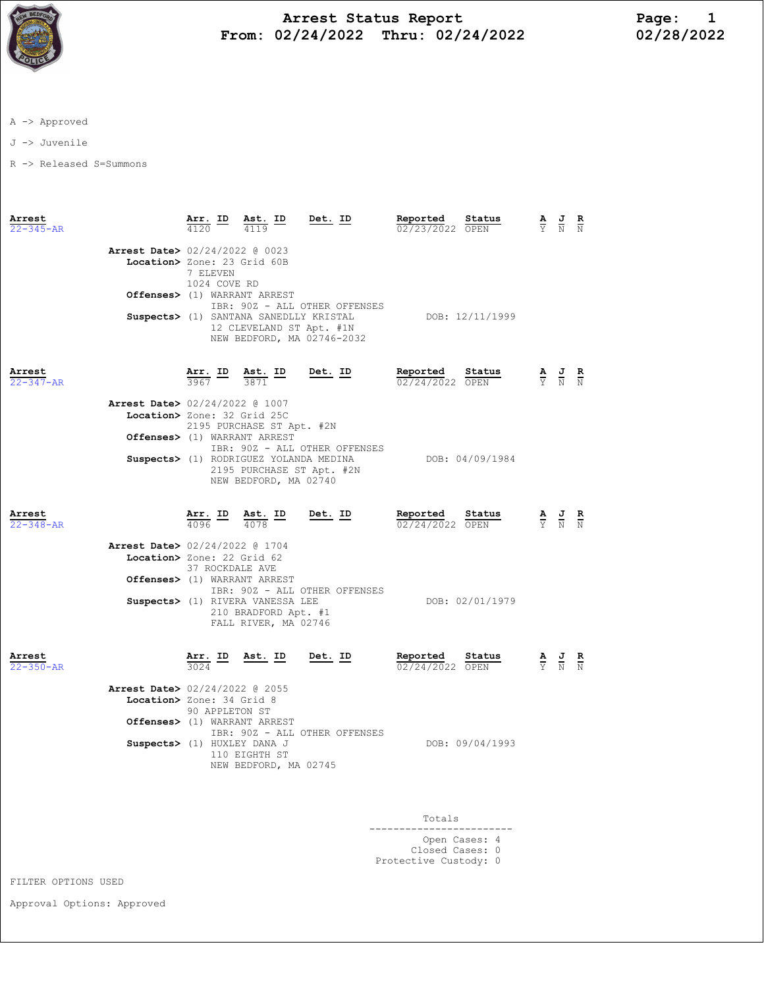

## Arrest Status Report<br>12/24/2022 Thru: 02/24/2022 12/28/2022 From: 02/24/2022 Thru: 02/24/2022

A -> Approved

J -> Juvenile

R -> Released S=Summons

| Arrest<br>$22 - 345 - AR$ |                                                                                                                                                            | Arr. ID Ast. ID<br>4120                                  | 4119                                                             | Det. ID                                                                                              | Reported<br>02/23/2022 OPEN        | Status          | $\frac{\mathbf{A}}{\mathbf{Y}}$ $\frac{\mathbf{J}}{\mathbf{N}}$ |                                                                                                 | $\frac{R}{N}$ |
|---------------------------|------------------------------------------------------------------------------------------------------------------------------------------------------------|----------------------------------------------------------|------------------------------------------------------------------|------------------------------------------------------------------------------------------------------|------------------------------------|-----------------|-----------------------------------------------------------------|-------------------------------------------------------------------------------------------------|---------------|
|                           | Arrest Date> 02/24/2022 @ 0023<br>Location> Zone: 23 Grid 60B<br>7 ELEVEN<br>1024 COVE RD<br>Offenses> (1) WARRANT ARREST<br>IBR: 90Z - ALL OTHER OFFENSES |                                                          |                                                                  |                                                                                                      |                                    |                 |                                                                 |                                                                                                 |               |
|                           |                                                                                                                                                            |                                                          |                                                                  | Suspects> (1) SANTANA SANEDLLY KRISTAL<br>12 CLEVELAND ST Apt. #1N<br>NEW BEDFORD, MA 02746-2032     |                                    | DOB: 12/11/1999 |                                                                 |                                                                                                 |               |
| Arrest<br>$22 - 347 - AR$ |                                                                                                                                                            |                                                          | $\frac{\text{Arr.}}{3967}$ ID $\frac{\text{Ast.}}{3871}$ ID      | Det. ID                                                                                              | Reported Status<br>02/24/2022 OPEN |                 |                                                                 | $\frac{\mathbf{A}}{\mathbf{Y}}$ $\frac{\mathbf{J}}{\mathbf{N}}$ $\frac{\mathbf{R}}{\mathbf{N}}$ |               |
|                           | Arrest Date> 02/24/2022 @ 1007<br>Location> Zone: 32 Grid 25C                                                                                              |                                                          | 2195 PURCHASE ST Apt. #2N<br>Offenses> (1) WARRANT ARREST        |                                                                                                      |                                    |                 |                                                                 |                                                                                                 |               |
|                           |                                                                                                                                                            |                                                          | NEW BEDFORD, MA 02740                                            | IBR: 90Z - ALL OTHER OFFENSES<br>Suspects> (1) RODRIGUEZ YOLANDA MEDINA<br>2195 PURCHASE ST Apt. #2N |                                    | DOB: 04/09/1984 |                                                                 |                                                                                                 |               |
| Arrest<br>$22 - 348 - AR$ |                                                                                                                                                            | $\frac{\text{Arr.}}{4096}$ ID $\frac{\text{Ast.}}{4078}$ |                                                                  | Det. ID                                                                                              | Reported Status<br>02/24/2022 OPEN |                 |                                                                 | $\frac{\mathbf{A}}{\mathbf{Y}}$ $\frac{\mathbf{J}}{\mathbf{N}}$                                 | $\frac{R}{N}$ |
|                           | Arrest Date> 02/24/2022 @ 1704<br>Location> Zone: 22 Grid 62                                                                                               | 37 ROCKDALE AVE                                          | Offenses> (1) WARRANT ARREST<br>Suspects> (1) RIVERA VANESSA LEE | IBR: 90Z - ALL OTHER OFFENSES                                                                        |                                    | DOB: 02/01/1979 |                                                                 |                                                                                                 |               |
|                           |                                                                                                                                                            |                                                          | 210 BRADFORD Apt. #1<br>FALL RIVER, MA 02746                     |                                                                                                      |                                    |                 |                                                                 |                                                                                                 |               |
| Arrest<br>22-350-AR       |                                                                                                                                                            |                                                          |                                                                  | $\frac{\texttt{Arr.}}{3024}$ ID Ast. ID Det. ID                                                      | Reported<br>02/24/2022 OPEN        | Status          |                                                                 | $\frac{\mathbf{A}}{\mathbf{Y}}$ $\frac{\mathbf{J}}{\mathbf{N}}$ $\frac{\mathbf{R}}{\mathbf{N}}$ |               |
|                           | <b>Arrest Date&gt;</b> 02/24/2022 @ 2055<br>Location> Zone: 34 Grid 8                                                                                      | 90 APPLETON ST                                           | Offenses> (1) WARRANT ARREST                                     |                                                                                                      |                                    |                 |                                                                 |                                                                                                 |               |
|                           | Suspects> (1) HUXLEY DANA J                                                                                                                                |                                                          | 110 EIGHTH ST<br>NEW BEDFORD, MA 02745                           | IBR: 90Z - ALL OTHER OFFENSES                                                                        | DOB: 09/04/1993                    |                 |                                                                 |                                                                                                 |               |
|                           |                                                                                                                                                            |                                                          |                                                                  |                                                                                                      |                                    |                 |                                                                 |                                                                                                 |               |

| Totals                           |  |  |
|----------------------------------|--|--|
| Open Cases: 4<br>Closed Cases: 0 |  |  |
| Protective Custody: 0            |  |  |

FILTER OPTIONS USED

Approval Options: Approved